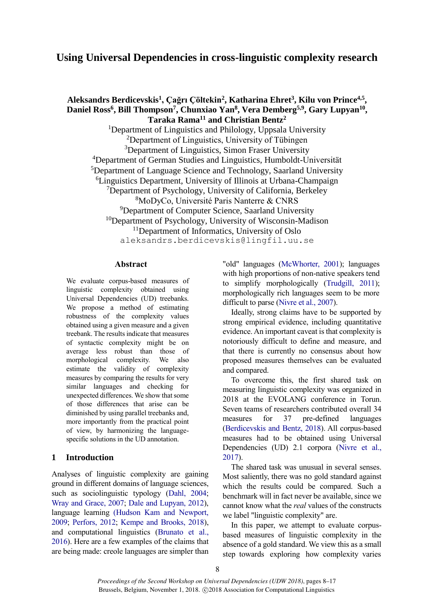# **Using Universal Dependencies in cross-linguistic complexity research**

**Aleksandrs Berdicevskis<sup>1</sup> , Çağrı Çöltekin<sup>2</sup> , Katharina Ehret<sup>3</sup> , Kilu von Prince4,5 , Daniel Ross<sup>6</sup> , Bill Thompson<sup>7</sup> , Chunxiao Yan<sup>8</sup> , Vera Demberg5,9, Gary Lupyan<sup>10</sup> , Taraka Rama<sup>11</sup> and Christian Bentz<sup>2</sup>** <sup>1</sup>Department of Linguistics and Philology, Uppsala University <sup>2</sup>Department of Linguistics, University of Tübingen <sup>3</sup>Department of Linguistics, Simon Fraser University <sup>4</sup>Department of German Studies and Linguistics, Humboldt-Universität <sup>5</sup>Department of Language Science and Technology, Saarland University <sup>6</sup>Linguistics Department, University of Illinois at Urbana-Champaign <sup>7</sup>Department of Psychology, University of California, Berkeley <sup>8</sup>MoDyCo, Université Paris Nanterre & CNRS <sup>9</sup>Department of Computer Science, Saarland University <sup>10</sup>Department of Psychology, University of Wisconsin-Madison <sup>11</sup>Department of Informatics, University of Oslo aleksandrs.berdicevskis@lingfil.uu.se

#### **Abstract**

We evaluate corpus-based measures of linguistic complexity obtained using Universal Dependencies (UD) treebanks. We propose a method of estimating robustness of the complexity values obtained using a given measure and a given treebank. The results indicate that measures of syntactic complexity might be on average less robust than those of morphological complexity. We also estimate the validity of complexity measures by comparing the results for very similar languages and checking for unexpected differences. We show that some of those differences that arise can be diminished by using parallel treebanks and, more importantly from the practical point of view, by harmonizing the languagespecific solutions in the UD annotation.

# **1 Introduction**

Analyses of linguistic complexity are gaining ground in different domains of language sciences, such as sociolinguistic typology [\(Dahl, 2004;](#page-7-0) [Wray and Grace, 2007;](#page-8-0) [Dale and Lupyan, 2012\)](#page-7-1), language learning [\(Hudson Kam and Newport,](#page-8-1)  [2009;](#page-8-1) [Perfors, 2012;](#page-8-2) [Kempe and Brooks, 2018\)](#page-8-3), and computational linguistics [\(Brunato et al.,](#page-7-2)  [2016\)](#page-7-2). Here are a few examples of the claims that are being made: creole languages are simpler than

"old" languages [\(McWhorter, 2001\)](#page-8-4); languages with high proportions of non-native speakers tend to simplify morphologically [\(Trudgill, 2011\)](#page-8-5); morphologically rich languages seem to be more difficult to parse [\(Nivre et al., 2007\)](#page-8-6).

Ideally, strong claims have to be supported by strong empirical evidence, including quantitative evidence. An important caveat is that complexity is notoriously difficult to define and measure, and that there is currently no consensus about how proposed measures themselves can be evaluated and compared.

To overcome this, the first shared task on measuring linguistic complexity was organized in 2018 at the EVOLANG conference in Torun. Seven teams of researchers contributed overall 34 measures for 37 pre-defined languages [\(Berdicevskis and Bentz, 2018\)](#page-7-3). All corpus-based measures had to be obtained using Universal Dependencies (UD) 2.1 corpora [\(Nivre et al.,](#page-8-7)  [2017\)](#page-8-7).

The shared task was unusual in several senses. Most saliently, there was no gold standard against which the results could be compared. Such a benchmark will in fact never be available, since we cannot know what the *real* values of the constructs we label "linguistic complexity" are.

In this paper, we attempt to evaluate corpusbased measures of linguistic complexity in the absence of a gold standard. We view this as a small step towards exploring how complexity varies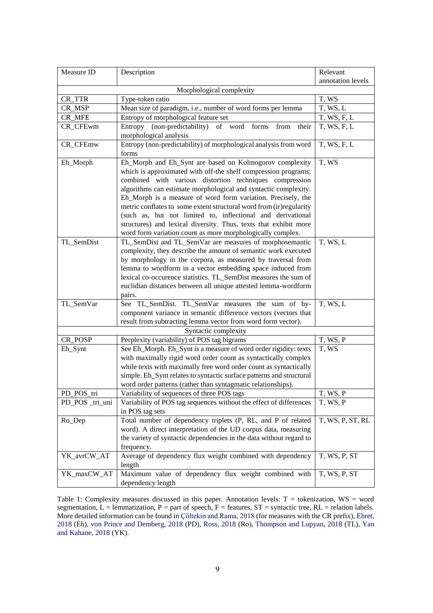| Measure ID               | Description                                                                                                                                                                                                                                                                                                                                                                                                                                                                                                                                                                                     | Relevant         |  |  |  |  |  |  |
|--------------------------|-------------------------------------------------------------------------------------------------------------------------------------------------------------------------------------------------------------------------------------------------------------------------------------------------------------------------------------------------------------------------------------------------------------------------------------------------------------------------------------------------------------------------------------------------------------------------------------------------|------------------|--|--|--|--|--|--|
|                          | annotation levels                                                                                                                                                                                                                                                                                                                                                                                                                                                                                                                                                                               |                  |  |  |  |  |  |  |
| Morphological complexity |                                                                                                                                                                                                                                                                                                                                                                                                                                                                                                                                                                                                 |                  |  |  |  |  |  |  |
| CR_TTR                   | Type-token ratio                                                                                                                                                                                                                                                                                                                                                                                                                                                                                                                                                                                |                  |  |  |  |  |  |  |
| CR_MSP                   | Mean size of paradigm, i.e., number of word forms per lemma                                                                                                                                                                                                                                                                                                                                                                                                                                                                                                                                     | T, WS, L         |  |  |  |  |  |  |
| <b>CR_MFE</b>            | Entropy of morphological feature set                                                                                                                                                                                                                                                                                                                                                                                                                                                                                                                                                            | T, WS, F, L      |  |  |  |  |  |  |
| CR_CFEwm                 | (non-predictability) of<br>Entropy<br>word<br>forms<br>from<br>their<br>morphological analysis                                                                                                                                                                                                                                                                                                                                                                                                                                                                                                  | T, WS, F, L      |  |  |  |  |  |  |
| CR_CFEmw                 | Entropy (non-predictability) of morphological analysis from word<br>forms                                                                                                                                                                                                                                                                                                                                                                                                                                                                                                                       | T, WS, F, L      |  |  |  |  |  |  |
| Eh_Morph                 | Eh_Morph and Eh_Synt are based on Kolmogorov complexity<br>which is approximated with off-the shelf compression programs;<br>combined with various distortion techniques compression<br>algorithms can estimate morphological and syntactic complexity.<br>Eh_Morph is a measure of word form variation. Precisely, the<br>metric conflates to some extent structural word from (ir)regularity<br>(such as, but not limited to, inflectional and derivational<br>structures) and lexical diversity. Thus, texts that exhibit more<br>word form variation count as more morphologically complex. | T, WS            |  |  |  |  |  |  |
| TL_SemDist               | TL_SemDist and TL_SemVar are measures of morphosemantic<br>complexity, they describe the amount of semantic work executed<br>by morphology in the corpora, as measured by traversal from<br>lemma to wordform in a vector embedding space induced from<br>lexical co-occurence statistics. TL_SemDist measures the sum of<br>euclidian distances between all unique attested lemma-wordform<br>pairs.                                                                                                                                                                                           | T, WS, L         |  |  |  |  |  |  |
| TL_SemVar                | See TL_SemDist. TL_SemVar measures the sum of by-<br>component variance in semantic difference vectors (vectors that<br>result from subtracting lemma vector from word form vector).                                                                                                                                                                                                                                                                                                                                                                                                            | T, WS, L         |  |  |  |  |  |  |
|                          | Syntactic complexity                                                                                                                                                                                                                                                                                                                                                                                                                                                                                                                                                                            |                  |  |  |  |  |  |  |
| CR_POSP                  | Perplexity (variability) of POS tag bigrams                                                                                                                                                                                                                                                                                                                                                                                                                                                                                                                                                     | T, WS, P         |  |  |  |  |  |  |
| Eh_Synt                  | See Eh_Morph. Eh_Synt is a measure of word order rigidity: texts<br>with maximally rigid word order count as syntactically complex<br>while texts with maximally free word order count as syntactically<br>simple. Eh_Synt relates to syntactic surface patterns and structural<br>word order patterns (rather than syntagmatic relationships).                                                                                                                                                                                                                                                 | T, WS            |  |  |  |  |  |  |
| PD_POS_tri               | Variability of sequences of three POS tags                                                                                                                                                                                                                                                                                                                                                                                                                                                                                                                                                      | T, WS, P         |  |  |  |  |  |  |
| PD_POS _tri_uni          | Variability of POS tag sequences without the effect of differences<br>in POS tag sets                                                                                                                                                                                                                                                                                                                                                                                                                                                                                                           | T, WS, P         |  |  |  |  |  |  |
| Ro_Dep                   | Total number of dependency triplets (P, RL, and P of related<br>word). A direct interpretation of the UD corpus data, measuring<br>the variety of syntactic dependencies in the data without regard to<br>frequency.                                                                                                                                                                                                                                                                                                                                                                            | T, WS, P, ST, RL |  |  |  |  |  |  |
| YK_avrCW_AT              | Average of dependency flux weight combined with dependency<br>length                                                                                                                                                                                                                                                                                                                                                                                                                                                                                                                            | T, WS, P, ST     |  |  |  |  |  |  |
| YK_maxCW_AT              | Maximum value of dependency flux weight combined with<br>dependency length                                                                                                                                                                                                                                                                                                                                                                                                                                                                                                                      | T, WS, P, ST     |  |  |  |  |  |  |

<span id="page-1-0"></span>Table 1: Complexity measures discussed in this paper. Annotation levels:  $T =$  tokenization,  $WS =$  word segmentation,  $\overline{L}$  = lemmatization,  $P$  = part of speech,  $F$  = features,  $ST$  = syntactic tree,  $RL$  = relation labels. More detailed information can be found i[n Çöltekin and Rama, 2018](#page-7-4) (for measures with the CR prefix), [Ehret,](#page-8-8)  [2018](#page-8-8) (Eh), [von Prince and Demberg, 2018](#page-8-9) (PD), [Ross, 2018](#page-8-10) (Ro), [Thompson and Lupyan, 2018](#page-8-11) (TL), [Yan](#page-8-12)  [and Kahane, 2018](#page-8-12) (YK).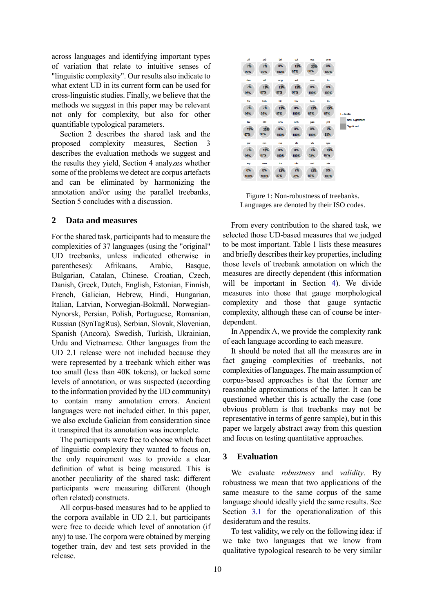across languages and identifying important types of variation that relate to intuitive senses of "linguistic complexity". Our results also indicate to what extent UD in its current form can be used for cross-linguistic studies. Finally, we believe that the methods we suggest in this paper may be relevant not only for complexity, but also for other quantifiable typological parameters.

Section 2 describes the shared task and the proposed complexity measures, Section 3 describes the evaluation methods we suggest and the results they yield, Section 4 analyzes whether some of the problems we detect are corpus artefacts and can be eliminated by harmonizing the annotation and/or using the parallel treebanks, Section 5 concludes with a discussion.

# **2 Data and measures**

For the shared task, participants had to measure the complexities of 37 languages (using the "original" UD treebanks, unless indicated otherwise in parentheses): Afrikaans, Arabic, Basque, Bulgarian, Catalan, Chinese, Croatian, Czech, Danish, Greek, Dutch, English, Estonian, Finnish, French, Galician, Hebrew, Hindi, Hungarian, Italian, Latvian, Norwegian-Bokmål, Norwegian-Nynorsk, Persian, Polish, Portuguese, Romanian, Russian (SynTagRus), Serbian, Slovak, Slovenian, Spanish (Ancora), Swedish, Turkish, Ukrainian, Urdu and Vietnamese. Other languages from the UD 2.1 release were not included because they were represented by a treebank which either was too small (less than 40K tokens), or lacked some levels of annotation, or was suspected (according to the information provided by the UD community) to contain many annotation errors. Ancient languages were not included either. In this paper, we also exclude Galician from consideration since it transpired that its annotation was incomplete.

The participants were free to choose which facet of linguistic complexity they wanted to focus on, the only requirement was to provide a clear definition of what is being measured. This is another peculiarity of the shared task: different participants were measuring different (though often related) constructs.

All corpus-based measures had to be applied to the corpora available in UD 2.1, but participants were free to decide which level of annotation (if any) to use. The corpora were obtained by merging together train, dev and test sets provided in the release.



Figure 1: Non-robustness of treebanks. Languages are denoted by their ISO codes.

<span id="page-2-0"></span>From every contribution to the shared task, we selected those UD-based measures that we judged to be most important. [Table 1](#page-1-0) lists these measures and briefly describes their key properties, including those levels of treebank annotation on which the measures are directly dependent (this information will be important in Section [4\)](#page-5-0). We divide measures into those that gauge morphological complexity and those that gauge syntactic complexity, although these can of course be interdependent.

In Appendix A, we provide the complexity rank of each language according to each measure.

It should be noted that all the measures are in fact gauging complexities of treebanks, not complexities of languages. The main assumption of corpus-based approaches is that the former are reasonable approximations of the latter. It can be questioned whether this is actually the case (one obvious problem is that treebanks may not be representative in terms of genre sample), but in this paper we largely abstract away from this question and focus on testing quantitative approaches.

#### **3 Evaluation**

We evaluate *robustness* and *validity*. By robustness we mean that two applications of the same measure to the same corpus of the same language should ideally yield the same results. See Section [3.1](#page-3-0) for the operationalization of this desideratum and the results.

To test validity, we rely on the following idea: if we take two languages that we know from qualitative typological research to be very similar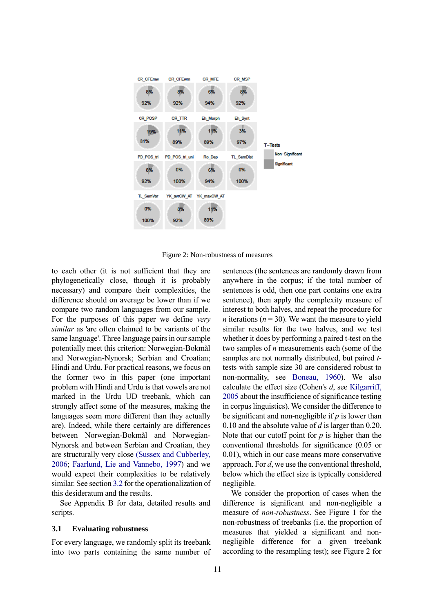

Figure 2: Non-robustness of measures

<span id="page-3-1"></span>to each other (it is not sufficient that they are phylogenetically close, though it is probably necessary) and compare their complexities, the difference should on average be lower than if we compare two random languages from our sample. For the purposes of this paper we define *very similar* as 'are often claimed to be variants of the same language'. Three language pairs in our sample potentially meet this criterion: Norwegian-Bokmål and Norwegian-Nynorsk; Serbian and Croatian; Hindi and Urdu. For practical reasons, we focus on the former two in this paper (one important problem with Hindi and Urdu is that vowels are not marked in the Urdu UD treebank, which can strongly affect some of the measures, making the languages seem more different than they actually are). Indeed, while there certainly are differences between Norwegian-Bokmål and Norwegian-Nynorsk and between Serbian and Croatian, they are structurally very close [\(Sussex and Cubberley,](#page-8-13)  [2006](#page-8-13); [Faarlund, Lie and Vannebo, 1997\)](#page-8-14) and we would expect their complexities to be relatively similar. See sectio[n 3.2](#page-4-0) for the operationalization of this desideratum and the results.

See Appendix B for data, detailed results and scripts.

#### <span id="page-3-0"></span>**3.1 Evaluating robustness**

For every language, we randomly split its treebank into two parts containing the same number of sentences (the sentences are randomly drawn from anywhere in the corpus; if the total number of sentences is odd, then one part contains one extra sentence), then apply the complexity measure of interest to both halves, and repeat the procedure for *n* iterations ( $n = 30$ ). We want the measure to yield similar results for the two halves, and we test whether it does by performing a paired t-test on the two samples of *n* measurements each (some of the samples are not normally distributed, but paired *t*tests with sample size 30 are considered robust to non-normality, see [Boneau, 1960\)](#page-7-5). We also calculate the effect size (Cohen's *d*, see [Kilgarriff,](#page-8-15)  [2005](#page-8-15) about the insufficience of significance testing in corpus linguistics). We consider the difference to be significant and non-negligible if *p* is lower than 0.10 and the absolute value of *d* is larger than 0.20. Note that our cutoff point for *p* is higher than the conventional thresholds for significance (0.05 or 0.01), which in our case means more conservative approach. For *d*, we use the conventional threshold, below which the effect size is typically considered negligible.

We consider the proportion of cases when the difference is significant and non-negligible a measure of *non-robustness*. See [Figure 1](#page-2-0) for the non-robustness of treebanks (i.e. the proportion of measures that yielded a significant and nonnegligible difference for a given treebank according to the resampling test); see [Figure 2](#page-3-1) for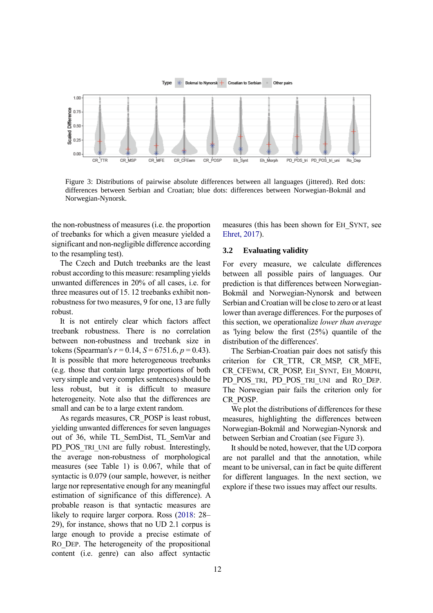

<span id="page-4-1"></span>Figure 3: Distributions of pairwise absolute differences between all languages (jittered). Red dots: differences between Serbian and Croatian; blue dots: differences between Norwegian-Bokmål and Norwegian-Nynorsk.

the non-robustness of measures (i.e. the proportion of treebanks for which a given measure yielded a significant and non-negligible difference according to the resampling test).

The Czech and Dutch treebanks are the least robust according to this measure: resampling yields unwanted differences in 20% of all cases, i.e. for three measures out of 15. 12 treebanks exhibit nonrobustness for two measures, 9 for one, 13 are fully robust.

It is not entirely clear which factors affect treebank robustness. There is no correlation between non-robustness and treebank size in tokens (Spearman's  $r = 0.14$ ,  $S = 6751.6$ ,  $p = 0.43$ ). It is possible that more heterogeneous treebanks (e.g. those that contain large proportions of both very simple and very complex sentences) should be less robust, but it is difficult to measure heterogeneity. Note also that the differences are small and can be to a large extent random.

As regards measures, CR\_POSP is least robust, yielding unwanted differences for seven languages out of 36, while TL\_SemDist, TL\_SemVar and PD POS TRI UNI are fully robust. Interestingly, the average non-robustness of morphological measures (see [Table 1\)](#page-1-0) is 0.067, while that of syntactic is 0.079 (our sample, however, is neither large nor representative enough for any meaningful estimation of significance of this difference). A probable reason is that syntactic measures are likely to require larger corpora. Ross [\(2018:](#page-8-10) 28– 29), for instance, shows that no UD 2.1 corpus is large enough to provide a precise estimate of RO DEP. The heterogeneity of the propositional content (i.e. genre) can also affect syntactic

measures (this has been shown for EH\_SYNT, see [Ehret, 2017\)](#page-8-16).

#### <span id="page-4-0"></span>**3.2 Evaluating validity**

For every measure, we calculate differences between all possible pairs of languages. Our prediction is that differences between Norwegian-Bokmål and Norwegian-Nynorsk and between Serbian and Croatian will be close to zero or at least lower than average differences. For the purposes of this section, we operationalize *lower than average*  as 'lying below the first (25%) quantile of the distribution of the differences'.

The Serbian-Croatian pair does not satisfy this criterion for CR\_TTR, CR\_MSP, CR\_MFE, CR\_CFEWM, CR\_POSP, EH\_SYNT, EH\_MORPH, PD\_POS\_TRI, PD\_POS\_TRI\_UNI and RO\_DEP. The Norwegian pair fails the criterion only for CR\_POSP.

We plot the distributions of differences for these measures, highlighting the differences between Norwegian-Bokmål and Norwegian-Nynorsk and between Serbian and Croatian (see [Figure 3\)](#page-4-1).

It should be noted, however, that the UD corpora are not parallel and that the annotation, while meant to be universal, can in fact be quite different for different languages. In the next section, we explore if these two issues may affect our results.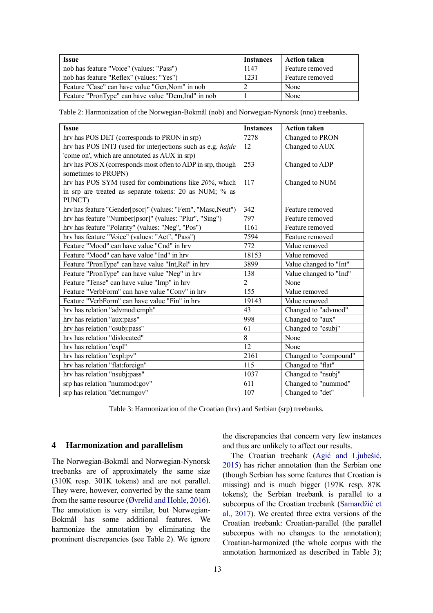| <b>Issue</b>                                        | <b>Instances</b> | <b>Action taken</b> |
|-----------------------------------------------------|------------------|---------------------|
| nob has feature "Voice" (values: "Pass")            | 1147             | Feature removed     |
| nob has feature "Reflex" (values: "Yes")            | 1231             | Feature removed     |
| Feature "Case" can have value "Gen, Nom" in nob     |                  | None                |
| Feature "PronType" can have value "Dem, Ind" in nob |                  | None                |

<span id="page-5-1"></span>Table 2: Harmonization of the Norwegian-Bokmål (nob) and Norwegian-Nynorsk (nno) treebanks.

| <b>Issue</b>                                                | <b>Instances</b> | <b>Action taken</b>    |  |  |
|-------------------------------------------------------------|------------------|------------------------|--|--|
| hrv has POS DET (corresponds to PRON in srp)                | 7278             | Changed to PRON        |  |  |
| hrv has POS INTJ (used for interjections such as e.g. hajde | 12               | Changed to AUX         |  |  |
| 'come on', which are annotated as AUX in srp)               |                  |                        |  |  |
| hrv has POS X (corresponds most often to ADP in srp, though | 253              | Changed to ADP         |  |  |
| sometimes to PROPN)                                         |                  |                        |  |  |
| hrv has POS SYM (used for combinations like 20%, which      | 117              | Changed to NUM         |  |  |
| in srp are treated as separate tokens: 20 as NUM; % as      |                  |                        |  |  |
| PUNCT)                                                      |                  |                        |  |  |
| hrv has feature "Gender[psor]" (values: "Fem", "Masc,Neut") | 342              | Feature removed        |  |  |
| hrv has feature "Number[psor]" (values: "Plur", "Sing")     | 797              | Feature removed        |  |  |
| hrv has feature "Polarity" (values: "Neg", "Pos")           | 1161             | Feature removed        |  |  |
| hrv has feature "Voice" (values: "Act", "Pass")             | 7594             | Feature removed        |  |  |
| Feature "Mood" can have value "Cnd" in hrv                  | 772              | Value removed          |  |  |
| Feature "Mood" can have value "Ind" in hrv                  | 18153            | Value removed          |  |  |
| Feature "PronType" can have value "Int, Rel" in hrv         | 3899             | Value changed to "Int" |  |  |
| Feature "PronType" can have value "Neg" in hrv              | 138              | Value changed to "Ind" |  |  |
| Feature "Tense" can have value "Imp" in hrv                 | $\mathfrak{D}$   | None                   |  |  |
| Feature "VerbForm" can have value "Conv" in hrv             | 155              | Value removed          |  |  |
| Feature "VerbForm" can have value "Fin" in hrv              | 19143            | Value removed          |  |  |
| hrv has relation "advmod:emph"                              | 43               | Changed to "advmod"    |  |  |
| hrv has relation "aux:pass"                                 | 998              | Changed to "aux"       |  |  |
| hrv has relation "csubj:pass"                               | 61               | Changed to "csubj"     |  |  |
| hrv has relation "dislocated"                               | 8                | None                   |  |  |
| hrv has relation "expl"                                     | 12               | None                   |  |  |
| hrv has relation "expl:pv"                                  | 2161             | Changed to "compound"  |  |  |
| hrv has relation "flat:foreign"                             | 115              | Changed to "flat"      |  |  |
| hrv has relation "nsubj:pass"                               | 1037             | Changed to "nsubj"     |  |  |
| srp has relation "nummod:gov"                               | 611              | Changed to "nummod"    |  |  |
| srp has relation "det:numgov"                               | 107              | Changed to "det"       |  |  |

Table 3: Harmonization of the Croatian (hrv) and Serbian (srp) treebanks.

#### <span id="page-5-2"></span><span id="page-5-0"></span>**4 Harmonization and parallelism**

The Norwegian-Bokmål and Norwegian-Nynorsk treebanks are of approximately the same size (310K resp. 301K tokens) and are not parallel. They were, however, converted by the same team from the same resource [\(Øvrelid and Hohle, 2016\)](#page-8-17). The annotation is very similar, but Norwegian-Bokmål has some additional features. We harmonize the annotation by eliminating the prominent discrepancies (see [Table 2\)](#page-5-1). We ignore the discrepancies that concern very few instances and thus are unlikely to affect our results.

The Croatian treebank [\(Agić and Ljubešić,](#page-7-3)  [2015\)](#page-7-3) has richer annotation than the Serbian one (though Serbian has some features that Croatian is missing) and is much bigger (197K resp. 87K tokens); the Serbian treebank is parallel to a subcorpus of the Croatian treebank [\(Samardžić et](#page-8-18)  [al., 2017\)](#page-8-18). We created three extra versions of the Croatian treebank: Croatian-parallel (the parallel subcorpus with no changes to the annotation); Croatian-harmonized (the whole corpus with the annotation harmonized as described in [Table 3\)](#page-5-2);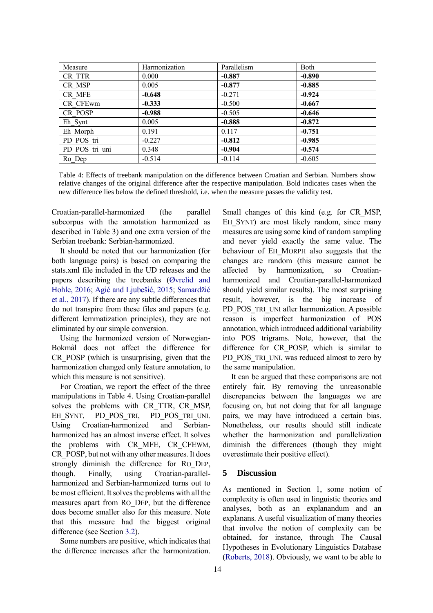| Measure        | Harmonization | Parallelism | Both     |
|----------------|---------------|-------------|----------|
| CR TTR         | 0.000         | $-0.887$    | $-0.890$ |
| CR MSP         | 0.005         | $-0.877$    | $-0.885$ |
| CR MFE         | $-0.648$      | $-0.271$    | $-0.924$ |
| CR CFEwm       | $-0.333$      | $-0.500$    | $-0.667$ |
| CR POSP        | $-0.988$      | $-0.505$    | $-0.646$ |
| Eh Synt        | 0.005         | $-0.888$    | $-0.872$ |
| Eh Morph       | 0.191         | 0.117       | $-0.751$ |
| PD POS tri     | $-0.227$      | $-0.812$    | $-0.985$ |
| PD POS tri uni | 0.348         | $-0.904$    | $-0.574$ |
| Ro Dep         | $-0.514$      | $-0.114$    | $-0.605$ |

<span id="page-6-0"></span>Table 4: Effects of treebank manipulation on the difference between Croatian and Serbian. Numbers show relative changes of the original difference after the respective manipulation. Bold indicates cases when the new difference lies below the defined threshold, i.e. when the measure passes the validity test.

Croatian-parallel-harmonized (the parallel subcorpus with the annotation harmonized as described in [Table 3\)](#page-5-2) and one extra version of the Serbian treebank: Serbian-harmonized.

It should be noted that our harmonization (for both language pairs) is based on comparing the stats.xml file included in the UD releases and the papers describing the treebanks [\(Øvrelid and](#page-8-17)  [Hohle, 2016;](#page-8-17) [Agić and Ljubešić, 2015;](#page-7-3) [Samardžić](#page-8-18)  [et al., 2017\)](#page-8-18). If there are any subtle differences that do not transpire from these files and papers (e.g. different lemmatization principles), they are not eliminated by our simple conversion.

Using the harmonized version of Norwegian-Bokmål does not affect the difference for CR\_POSP (which is unsurprising, given that the harmonization changed only feature annotation, to which this measure is not sensitive).

For Croatian, we report the effect of the three manipulations in [Table 4.](#page-6-0) Using Croatian-parallel solves the problems with CR\_TTR, CR\_MSP, EH\_SYNT, PD\_POS\_TRI, PD\_POS\_TRI\_UNI. Using Croatian-harmonized and Serbianharmonized has an almost inverse effect. It solves the problems with CR\_MFE, CR\_CFEWM, CR\_POSP, but not with any other measures. It does strongly diminish the difference for RO\_DEP, though. Finally, using Croatian-parallelharmonized and Serbian-harmonized turns out to be most efficient. It solves the problems with all the measures apart from RO\_DEP, but the difference does become smaller also for this measure. Note that this measure had the biggest original difference (see Section [3.2\)](#page-4-0).

Some numbers are positive, which indicates that the difference increases after the harmonization.

Small changes of this kind (e.g. for CR\_MSP, EH SYNT) are most likely random, since many measures are using some kind of random sampling and never yield exactly the same value. The behaviour of EH\_MORPH also suggests that the changes are random (this measure cannot be affected by harmonization, so Croatianharmonized and Croatian-parallel-harmonized should yield similar results). The most surprising result, however, is the big increase of PD\_POS\_TRI\_UNI after harmonization. A possible reason is imperfect harmonization of POS annotation, which introduced additional variability into POS trigrams. Note, however, that the difference for CR\_POSP, which is similar to PD\_POS\_TRI\_UNI, was reduced almost to zero by the same manipulation.

It can be argued that these comparisons are not entirely fair. By removing the unreasonable discrepancies between the languages we are focusing on, but not doing that for all language pairs, we may have introduced a certain bias. Nonetheless, our results should still indicate whether the harmonization and parallelization diminish the differences (though they might overestimate their positive effect).

# **5 Discussion**

As mentioned in Section 1, some notion of complexity is often used in linguistic theories and analyses, both as an explanandum and an explanans. A useful visualization of many theories that involve the notion of complexity can be obtained, for instance, through The Causal Hypotheses in Evolutionary Linguistics Database [\(Roberts, 2018\)](#page-8-17). Obviously, we want to be able to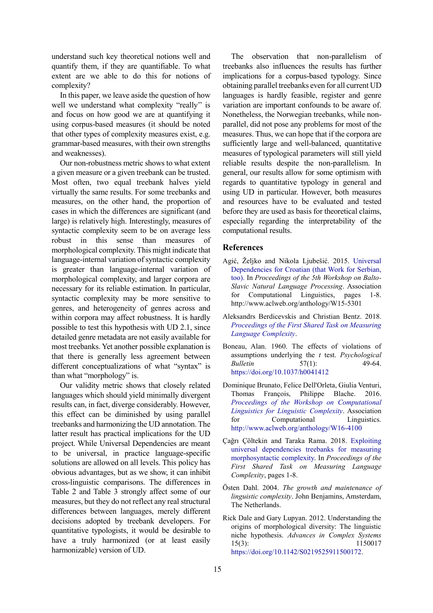understand such key theoretical notions well and quantify them, if they are quantifiable. To what extent are we able to do this for notions of complexity?

In this paper, we leave aside the question of how well we understand what complexity "really'' is and focus on how good we are at quantifying it using corpus-based measures (it should be noted that other types of complexity measures exist, e.g. grammar-based measures, with their own strengths and weaknesses).

Our non-robustness metric shows to what extent a given measure or a given treebank can be trusted. Most often, two equal treebank halves yield virtually the same results. For some treebanks and measures, on the other hand, the proportion of cases in which the differences are significant (and large) is relatively high. Interestingly, measures of syntactic complexity seem to be on average less robust in this sense than measures of morphological complexity. This might indicate that language-internal variation of syntactic complexity is greater than language-internal variation of morphological complexity, and larger corpora are necessary for its reliable estimation. In particular, syntactic complexity may be more sensitive to genres, and heterogeneity of genres across and within corpora may affect robustness. It is hardly possible to test this hypothesis with UD 2.1, since detailed genre metadata are not easily available for most treebanks. Yet another possible explanation is that there is generally less agreement between different conceptualizations of what "syntax" is than what "morphology" is.

Our validity metric shows that closely related languages which should yield minimally divergent results can, in fact, diverge considerably. However, this effect can be diminished by using parallel treebanks and harmonizing the UD annotation. The latter result has practical implications for the UD project. While Universal Dependencies are meant to be universal, in practice language-specific solutions are allowed on all levels. This policy has obvious advantages, but as we show, it can inhibit cross-linguistic comparisons. The differences in [Table 2](#page-5-1) and [Table 3](#page-5-2) strongly affect some of our measures, but they do not reflect any real structural differences between languages, merely different decisions adopted by treebank developers. For quantitative typologists, it would be desirable to have a truly harmonized (or at least easily harmonizable) version of UD.

The observation that non-parallelism of treebanks also influences the results has further implications for a corpus-based typology. Since obtaining parallel treebanks even for all current UD languages is hardly feasible, register and genre variation are important confounds to be aware of. Nonetheless, the Norwegian treebanks, while nonparallel, did not pose any problems for most of the measures. Thus, we can hope that if the corpora are sufficiently large and well-balanced, quantitative measures of typological parameters will still yield reliable results despite the non-parallelism. In general, our results allow for some optimism with regards to quantitative typology in general and using UD in particular. However, both measures and resources have to be evaluated and tested before they are used as basis for theoretical claims, especially regarding the interpretability of the computational results.

# **References**

- <span id="page-7-3"></span>Agić, Željko and Nikola Ljubešić. 2015. [Universal](http://www.aclweb.org/anthology/W15-5301)  [Dependencies for Croatian \(that Work for Serbian,](http://www.aclweb.org/anthology/W15-5301)  [too\).](http://www.aclweb.org/anthology/W15-5301) In *Proceedings of the 5th Workshop on Balto-Slavic Natural Language Processing*. Association for Computational Linguistics, pages 1-8. http://www.aclweb.org/anthology/W15-5301
- Aleksandrs Berdicevskis and Christian Bentz. 2018. *[Proceedings of the First Shared Task on Measuring](http://www.christianbentz.de/MLC_proceedings.html)  [Language Complexity](http://www.christianbentz.de/MLC_proceedings.html)*.
- <span id="page-7-5"></span>Boneau, Alan. 1960. The effects of violations of assumptions underlying the *t* test. *Psychological Bulletin* 57(1): 49-64. <https://doi.org/10.1037/h0041412>
- <span id="page-7-2"></span>Dominique Brunato, Felice Dell'Orleta, Giulia Venturi, Thomas François, Philippe Blache. 2016. *[Proceedings of the Workshop on Computational](http://www.aclweb.org/anthology/W16-4100)  [Linguistics for Linguistic Complexity](http://www.aclweb.org/anthology/W16-4100)*. Association for Computational Linguistics. <http://www.aclweb.org/anthology/W16-4100>
- <span id="page-7-4"></span>Çağrı Çöltekin and Taraka Rama. 2018. [Exploiting](http://www.christianbentz.de/MLC2018/Coltekin_Rama.pdf)  [universal dependencies treebanks for measuring](http://www.christianbentz.de/MLC2018/Coltekin_Rama.pdf)  [morphosyntactic complexity.](http://www.christianbentz.de/MLC2018/Coltekin_Rama.pdf) In *Proceedings of the First Shared Task on Measuring Language Complexity*, pages 1-8.
- <span id="page-7-0"></span>Östen Dahl. 2004. *The growth and maintenance of linguistic complexity*. John Benjamins, Amsterdam, The Netherlands.
- <span id="page-7-1"></span>Rick Dale and Gary Lupyan. 2012. Understanding the origins of morphological diversity: The linguistic niche hypothesis. *Advances in Complex Systems* 15(3): 1150017 [https://doi.org/10.1142/S0219525911500172.](https://doi.org/10.1142/S0219525911500172)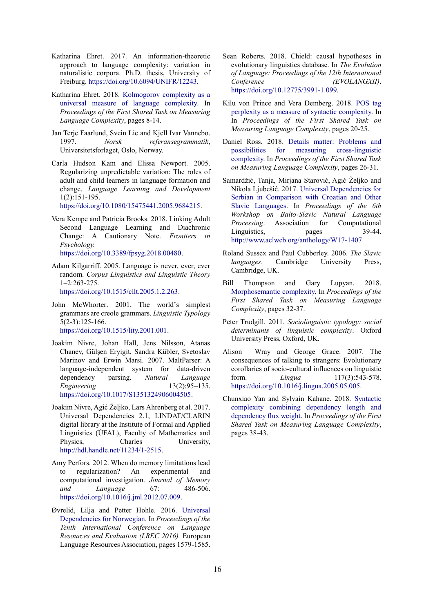- <span id="page-8-16"></span>Katharina Ehret. 2017. An information-theoretic approach to language complexity: variation in naturalistic corpora. Ph.D. thesis, University of Freiburg. https://doi.org/10.6094/UNIFR/12243.
- <span id="page-8-8"></span>Katharina Ehret. 2018. [Kolmogorov complexity as a](http://www.christianbentz.de/MLC2018/Ehret.pdf)  [universal measure of language complexity.](http://www.christianbentz.de/MLC2018/Ehret.pdf) In *Proceedings of the First Shared Task on Measuring Language Complexity*, pages 8-14.
- <span id="page-8-14"></span>Jan Terje Faarlund, Svein Lie and Kjell Ivar Vannebo. 1997. *Norsk referansegrammatik*, Universitetsforlaget, Oslo, Norway.
- <span id="page-8-1"></span>Carla Hudson Kam and Elissa Newport. 2005. Regularizing unpredictable variation: The roles of adult and child learners in language formation and change. *Language Learning and Development* 1(2):151-195.

[https://doi.org/10.1080/15475441.2005.9684215.](https://doi.org/10.1080/15475441.2005.9684215)

- <span id="page-8-3"></span>Vera Kempe and Patricia Brooks. 2018. Linking Adult Second Language Learning and Diachronic Change: A Cautionary Note. *Frontiers in Psychology.*  [https://doi.org/10.3389/fpsyg.2018.00480.](https://doi.org/10.3389/fpsyg.2018.00480)
- <span id="page-8-15"></span>Adam Kilgarriff. 2005. Language is never, ever, ever random. *Corpus Linguistics and Linguistic Theory*  1–2:263-275. [https://doi.org/10.1515/cllt.2005.1.2.263.](https://doi.org/10.1515/cllt.2005.1.2.263)
- <span id="page-8-4"></span>John McWhorter. 2001. The world's simplest grammars are creole grammars. *Linguistic Typology* 5(2-3):125-166. [https://doi.org/10.1515/lity.2001.001.](https://doi.org/10.1515/lity.2001.001)
- <span id="page-8-6"></span>Joakim Nivre, Johan Hall, Jens Nilsson, Atanas Chanev, Gülşen Eryigit, Sandra Kübler, Svetoslav Marinov and Erwin Marsi. 2007. MaltParser: A language-independent system for data-driven dependency parsing. *Natural Language Engineering* 13(2):95–135. [https://doi.org/10.1017/S1351324906004505.](https://doi.org/10.1017/S1351324906004505)
- <span id="page-8-7"></span>Joakim Nivre, Agić Željko, Lars Ahrenberg et al. 2017. Universal Dependencies 2.1, LINDAT/CLARIN digital library at the Institute of Formal and Applied Linguistics (ÚFAL), Faculty of Mathematics and Physics, Charles University, [http://hdl.handle.net/11234/1-2515.](http://hdl.handle.net/11234/1-2515)
- <span id="page-8-2"></span>Amy Perfors. 2012. When do memory limitations lead to regularization? An experimental and computational investigation. *Journal of Memory and Language* 67: 486-506. [https://doi.org/10.1016/j.jml.2012.07.009.](https://doi.org/10.1016/j.jml.2012.07.009)
- <span id="page-8-17"></span>Øvrelid, Lilja and Petter Hohle. 2016. [Universal](http://www.lrec-conf.org/proceedings/lrec2016/pdf/462_Paper.pdf)  [Dependencies for Norwegian.](http://www.lrec-conf.org/proceedings/lrec2016/pdf/462_Paper.pdf) In *Proceedings of the Tenth International Conference on Language Resources and Evaluation (LREC 2016).* European Language Resources Association, pages 1579-1585.
- Sean Roberts. 2018. Chield: causal hypotheses in evolutionary linguistics database. In *The Evolution of Language: Proceedings of the 12th International Conference (EVOLANGXII)*. [https://doi.org/10.12775/3991-1.099.](https://doi.org/10.12775/3991-1.099)
- <span id="page-8-9"></span>Kilu von Prince and Vera Demberg. 2018. [POS tag](http://www.christianbentz.de/MLC2018/Prince_Demberg.pdf)  [perplexity as a measure of syntactic complexity.](http://www.christianbentz.de/MLC2018/Prince_Demberg.pdf) In In *Proceedings of the First Shared Task on Measuring Language Complexity*, pages 20-25.
- <span id="page-8-10"></span>Daniel Ross. 2018. [Details matter: Problems and](http://www.christianbentz.de/MLC2018/Ross.pdf)  [possibilities for measuring cross-linguistic](http://www.christianbentz.de/MLC2018/Ross.pdf)  [complexity.](http://www.christianbentz.de/MLC2018/Ross.pdf) In *Proceedings of the First Shared Task on Measuring Language Complexity*, pages 26-31.
- <span id="page-8-18"></span>Samardžić, Tanja, Mirjana Starović, Agić Željko and Nikola Ljubešić. 2017. [Universal Dependencies for](http://www.aclweb.org/anthology/W17-1407)  [Serbian in Comparison with Croatian and Other](http://www.aclweb.org/anthology/W17-1407)  [Slavic Languages.](http://www.aclweb.org/anthology/W17-1407) In *Proceedings of the 6th Workshop on Balto-Slavic Natural Language Processing*. Association for Computational Linguistics, pages 39-44. <http://www.aclweb.org/anthology/W17-1407>
- <span id="page-8-13"></span>Roland Sussex and Paul Cubberley. 2006. *The Slavic languages*. Cambridge University Press, Cambridge, UK.
- <span id="page-8-11"></span>Bill Thompson and Gary Lupyan. 2018. [Morphosemantic complexity.](http://www.christianbentz.de/MLC2018/Thompson_Lupyan.pdf) In *Proceedings of the First Shared Task on Measuring Language Complexity*, pages 32-37.
- <span id="page-8-5"></span>Peter Trudgill. 2011. *Sociolinguistic typology: social determinants of linguistic complexity*. Oxford University Press, Oxford, UK.
- <span id="page-8-0"></span>Alison Wray and George Grace. 2007. The consequences of talking to strangers: Evolutionary corollaries of socio-cultural influences on linguistic form. *Lingua* 117(3):543-578. [https://doi.org/10.1016/j.lingua.2005.05.005.](https://doi.org/10.1016/j.lingua.2005.05.005)
- <span id="page-8-12"></span>Chunxiao Yan and Sylvain Kahane. 2018. [Syntactic](http://www.christianbentz.de/MLC2018/Yan_Kahane.pdf)  [complexity combining dependency length and](http://www.christianbentz.de/MLC2018/Yan_Kahane.pdf)  [dependency flux weight.](http://www.christianbentz.de/MLC2018/Yan_Kahane.pdf) In *Proceedings of the First Shared Task on Measuring Language Complexity*, pages 38-43.